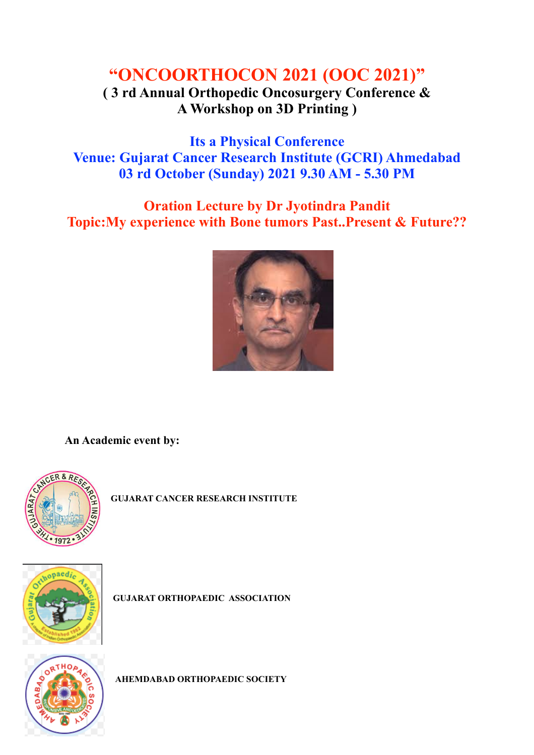## **"ONCOORTHOCON 2021 (OOC 2021)"**

## **( 3 rd Annual Orthopedic Oncosurgery Conference & A Workshop on 3D Printing )**

**Its a Physical Conference Venue: Gujarat Cancer Research Institute (GCRI) Ahmedabad 03 rd October (Sunday) 2021 9.30 AM - 5.30 PM**

## **Oration Lecture by Dr Jyotindra Pandit Topic:My experience with Bone tumors Past..Present & Future??**



**An Academic event by:** 



**GUJARAT CANCER RESEARCH INSTITUTE**



**GUJARAT ORTHOPAEDIC ASSOCIATION** 



**AHEMDABAD ORTHOPAEDIC SOCIETY**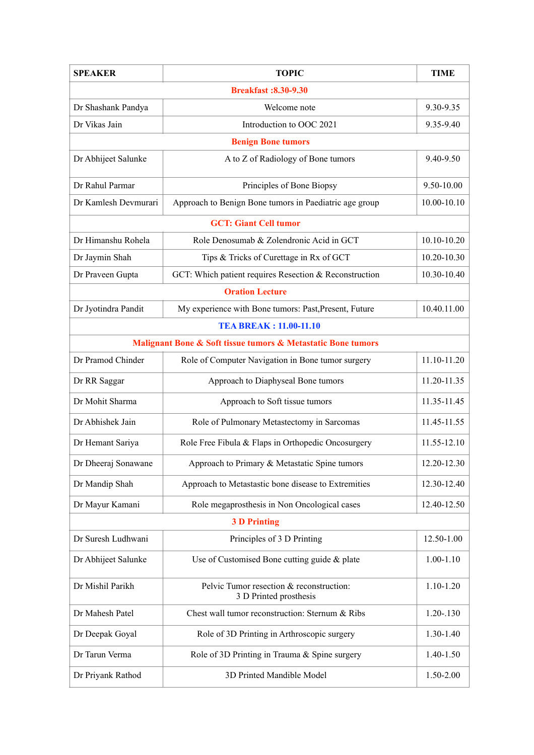| <b>SPEAKER</b>                                               | <b>TOPIC</b>                                                       | <b>TIME</b>   |  |
|--------------------------------------------------------------|--------------------------------------------------------------------|---------------|--|
| <b>Breakfast:8.30-9.30</b>                                   |                                                                    |               |  |
| Dr Shashank Pandya                                           | Welcome note                                                       | 9.30-9.35     |  |
| Dr Vikas Jain                                                | Introduction to OOC 2021                                           | 9.35-9.40     |  |
| <b>Benign Bone tumors</b>                                    |                                                                    |               |  |
| Dr Abhijeet Salunke                                          | A to Z of Radiology of Bone tumors                                 | 9.40-9.50     |  |
| Dr Rahul Parmar                                              | Principles of Bone Biopsy                                          | 9.50-10.00    |  |
| Dr Kamlesh Devmurari                                         | Approach to Benign Bone tumors in Paediatric age group             | 10.00-10.10   |  |
| <b>GCT: Giant Cell tumor</b>                                 |                                                                    |               |  |
| Dr Himanshu Rohela                                           | Role Denosumab & Zolendronic Acid in GCT                           | 10.10-10.20   |  |
| Dr Jaymin Shah                                               | Tips & Tricks of Curettage in Rx of GCT                            | 10.20-10.30   |  |
| Dr Praveen Gupta                                             | GCT: Which patient requires Resection & Reconstruction             | 10.30-10.40   |  |
| <b>Oration Lecture</b>                                       |                                                                    |               |  |
| Dr Jyotindra Pandit                                          | My experience with Bone tumors: Past, Present, Future              | 10.40.11.00   |  |
| <b>TEA BREAK: 11.00-11.10</b>                                |                                                                    |               |  |
| Malignant Bone & Soft tissue tumors & Metastatic Bone tumors |                                                                    |               |  |
| Dr Pramod Chinder                                            | Role of Computer Navigation in Bone tumor surgery                  | 11.10-11.20   |  |
| Dr RR Saggar                                                 | Approach to Diaphyseal Bone tumors                                 | 11.20-11.35   |  |
| Dr Mohit Sharma                                              | Approach to Soft tissue tumors                                     | 11.35-11.45   |  |
| Dr Abhishek Jain                                             | Role of Pulmonary Metastectomy in Sarcomas                         | 11.45-11.55   |  |
| Dr Hemant Sariya                                             | Role Free Fibula & Flaps in Orthopedic Oncosurgery                 | 11.55-12.10   |  |
| Dr Dheeraj Sonawane                                          | Approach to Primary & Metastatic Spine tumors                      | 12.20-12.30   |  |
| Dr Mandip Shah                                               | Approach to Metastastic bone disease to Extremities                | 12.30-12.40   |  |
| Dr Mayur Kamani                                              | Role megaprosthesis in Non Oncological cases                       | 12.40-12.50   |  |
| <b>3 D Printing</b>                                          |                                                                    |               |  |
| Dr Suresh Ludhwani                                           | Principles of 3 D Printing                                         | 12.50-1.00    |  |
| Dr Abhijeet Salunke                                          | Use of Customised Bone cutting guide & plate                       | $1.00 - 1.10$ |  |
| Dr Mishil Parikh                                             | Pelvic Tumor resection & reconstruction:<br>3 D Printed prosthesis | 1.10-1.20     |  |
| Dr Mahesh Patel                                              | Chest wall tumor reconstruction: Sternum & Ribs                    | $1.20 - 130$  |  |
| Dr Deepak Goyal                                              | Role of 3D Printing in Arthroscopic surgery                        | 1.30-1.40     |  |
| Dr Tarun Verma                                               | Role of 3D Printing in Trauma & Spine surgery                      | 1.40-1.50     |  |
| Dr Priyank Rathod                                            | 3D Printed Mandible Model                                          | 1.50-2.00     |  |